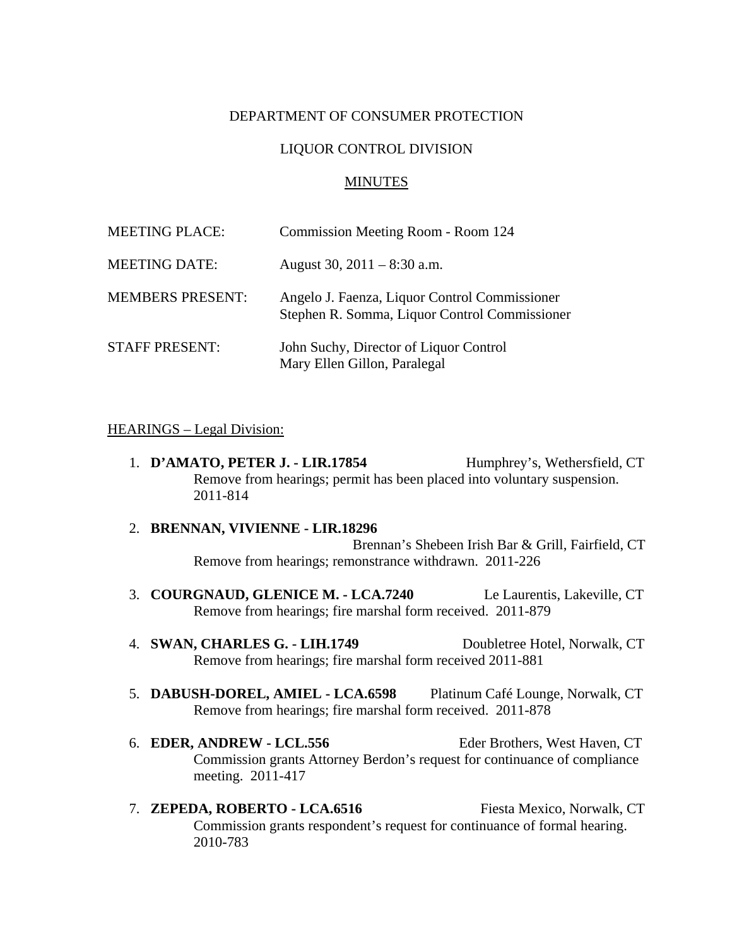#### DEPARTMENT OF CONSUMER PROTECTION

#### LIQUOR CONTROL DIVISION

#### MINUTES

| <b>MEETING PLACE:</b>   | Commission Meeting Room - Room 124                                                             |
|-------------------------|------------------------------------------------------------------------------------------------|
| <b>MEETING DATE:</b>    | August 30, $2011 - 8:30$ a.m.                                                                  |
| <b>MEMBERS PRESENT:</b> | Angelo J. Faenza, Liquor Control Commissioner<br>Stephen R. Somma, Liquor Control Commissioner |
| <b>STAFF PRESENT:</b>   | John Suchy, Director of Liquor Control<br>Mary Ellen Gillon, Paralegal                         |

#### HEARINGS – Legal Division:

- 1. **D'AMATO, PETER J. LIR.17854** Humphrey's, Wethersfield, CT Remove from hearings; permit has been placed into voluntary suspension. 2011-814
- 2. **BRENNAN, VIVIENNE LIR.18296** Brennan's Shebeen Irish Bar & Grill, Fairfield, CT Remove from hearings; remonstrance withdrawn. 2011-226
- 3. **COURGNAUD, GLENICE M. LCA.7240** Le Laurentis, Lakeville, CT Remove from hearings; fire marshal form received. 2011-879
- 4. **SWAN, CHARLES G. LIH.1749** Doubletree Hotel, Norwalk, CT Remove from hearings; fire marshal form received 2011-881
- 5. **DABUSH-DOREL, AMIEL LCA.6598** Platinum Café Lounge, Norwalk, CT Remove from hearings; fire marshal form received. 2011-878
- 6. **EDER, ANDREW LCL.556** Eder Brothers, West Haven, CT Commission grants Attorney Berdon's request for continuance of compliance meeting. 2011-417
- 7. **ZEPEDA, ROBERTO LCA.6516** Fiesta Mexico, Norwalk, CT Commission grants respondent's request for continuance of formal hearing. 2010-783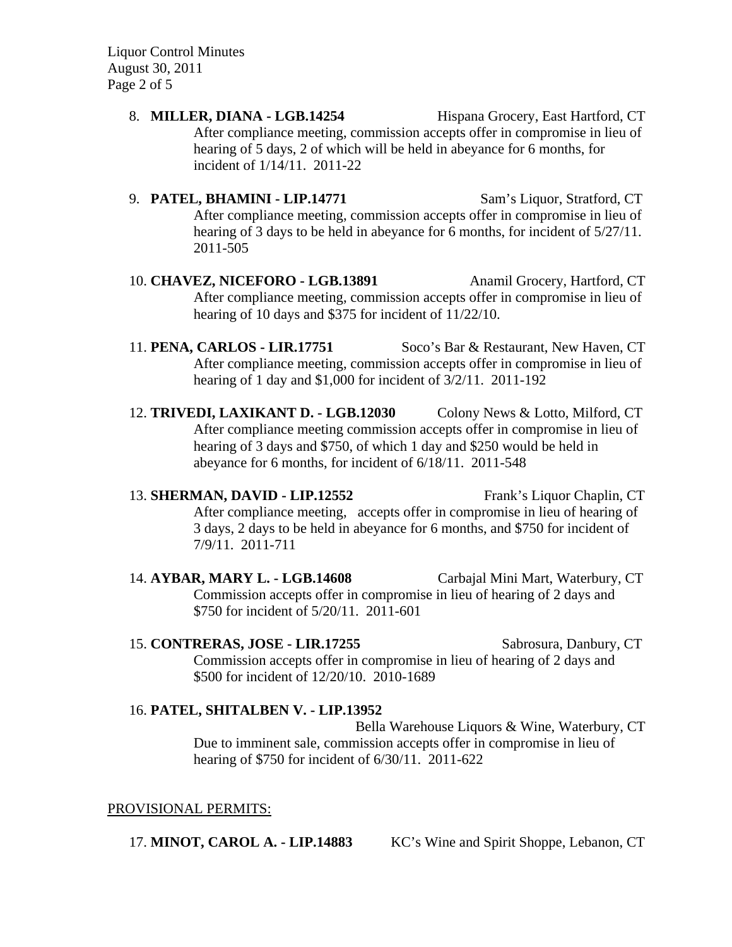Liquor Control Minutes August 30, 2011 Page 2 of 5

- 8. **MILLER, DIANA LGB.14254** Hispana Grocery, East Hartford, CT After compliance meeting, commission accepts offer in compromise in lieu of hearing of 5 days, 2 of which will be held in abeyance for 6 months, for incident of 1/14/11. 2011-22
- 9. **PATEL, BHAMINI LIP.14771** Sam's Liquor, Stratford, CT After compliance meeting, commission accepts offer in compromise in lieu of hearing of 3 days to be held in abeyance for 6 months, for incident of 5/27/11. 2011-505
- 10. **CHAVEZ, NICEFORO LGB.13891** Anamil Grocery, Hartford, CT After compliance meeting, commission accepts offer in compromise in lieu of hearing of 10 days and \$375 for incident of 11/22/10.
- 11. **PENA, CARLOS LIR.17751** Soco's Bar & Restaurant, New Haven, CT After compliance meeting, commission accepts offer in compromise in lieu of hearing of 1 day and \$1,000 for incident of 3/2/11. 2011-192
- 12. **TRIVEDI, LAXIKANT D. LGB.12030** Colony News & Lotto, Milford, CT After compliance meeting commission accepts offer in compromise in lieu of hearing of 3 days and \$750, of which 1 day and \$250 would be held in abeyance for 6 months, for incident of 6/18/11. 2011-548
- 13. **SHERMAN, DAVID LIP.12552** Frank's Liquor Chaplin, CT After compliance meeting, accepts offer in compromise in lieu of hearing of 3 days, 2 days to be held in abeyance for 6 months, and \$750 for incident of 7/9/11. 2011-711
- 14. **AYBAR, MARY L. LGB.14608** Carbajal Mini Mart, Waterbury, CT Commission accepts offer in compromise in lieu of hearing of 2 days and \$750 for incident of 5/20/11. 2011-601
- 15. **CONTRERAS, JOSE LIR.17255** Sabrosura, Danbury, CT Commission accepts offer in compromise in lieu of hearing of 2 days and \$500 for incident of 12/20/10. 2010-1689

# 16. **PATEL, SHITALBEN V. - LIP.13952**

Bella Warehouse Liquors & Wine, Waterbury, CT Due to imminent sale, commission accepts offer in compromise in lieu of hearing of \$750 for incident of 6/30/11. 2011-622

# PROVISIONAL PERMITS:

17. **MINOT, CAROL A. - LIP.14883** KC's Wine and Spirit Shoppe, Lebanon, CT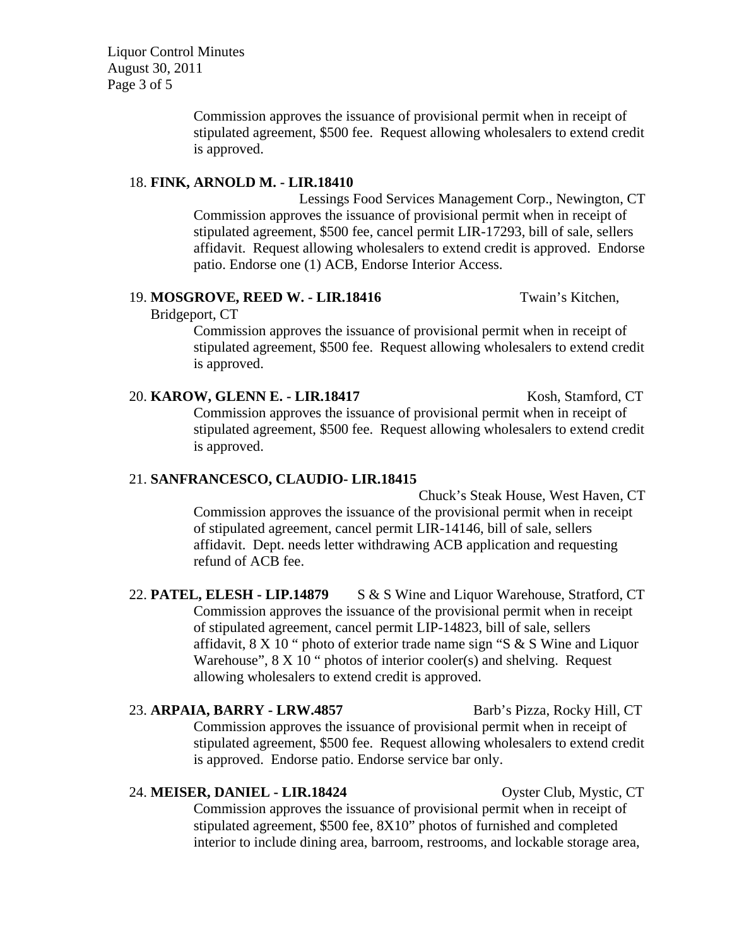Liquor Control Minutes August 30, 2011 Page 3 of 5

> Commission approves the issuance of provisional permit when in receipt of stipulated agreement, \$500 fee. Request allowing wholesalers to extend credit is approved.

#### 18. **FINK, ARNOLD M. - LIR.18410**

Lessings Food Services Management Corp., Newington, CT Commission approves the issuance of provisional permit when in receipt of stipulated agreement, \$500 fee, cancel permit LIR-17293, bill of sale, sellers affidavit. Request allowing wholesalers to extend credit is approved. Endorse patio. Endorse one (1) ACB, Endorse Interior Access.

### 19. **MOSGROVE, REED W. - LIR.18416** Twain's Kitchen,

Bridgeport, CT

Commission approves the issuance of provisional permit when in receipt of stipulated agreement, \$500 fee. Request allowing wholesalers to extend credit is approved.

# 20. **KAROW, GLENN E. - LIR.18417** Kosh, Stamford, CT Commission approves the issuance of provisional permit when in receipt of stipulated agreement, \$500 fee. Request allowing wholesalers to extend credit is approved.

# 21. **SANFRANCESCO, CLAUDIO- LIR.18415**

Chuck's Steak House, West Haven, CT Commission approves the issuance of the provisional permit when in receipt of stipulated agreement, cancel permit LIR-14146, bill of sale, sellers affidavit. Dept. needs letter withdrawing ACB application and requesting refund of ACB fee.

# 22. **PATEL, ELESH - LIP.14879** S & S Wine and Liquor Warehouse, Stratford, CT Commission approves the issuance of the provisional permit when in receipt of stipulated agreement, cancel permit LIP-14823, bill of sale, sellers affidavit, 8 X 10 " photo of exterior trade name sign "S & S Wine and Liquor Warehouse",  $8 \times 10$  " photos of interior cooler(s) and shelving. Request allowing wholesalers to extend credit is approved.

23. **ARPAIA, BARRY - LRW.4857** Barb's Pizza, Rocky Hill, CT Commission approves the issuance of provisional permit when in receipt of stipulated agreement, \$500 fee. Request allowing wholesalers to extend credit is approved. Endorse patio. Endorse service bar only.

24. **MEISER, DANIEL - LIR.18424** Oyster Club, Mystic, CT Commission approves the issuance of provisional permit when in receipt of stipulated agreement, \$500 fee, 8X10" photos of furnished and completed interior to include dining area, barroom, restrooms, and lockable storage area,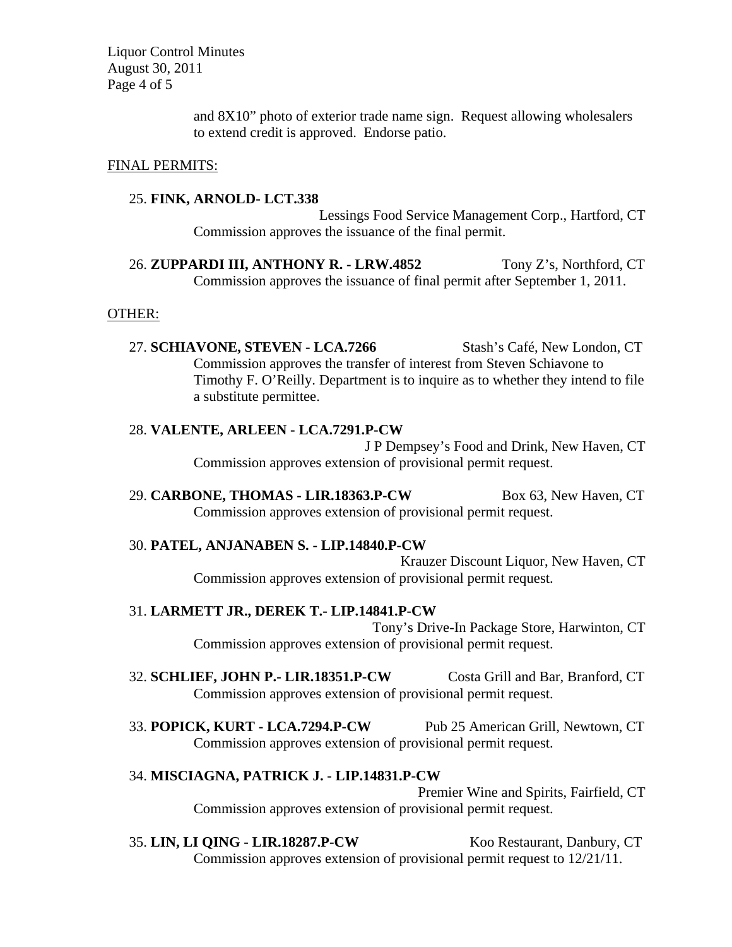Liquor Control Minutes August 30, 2011 Page 4 of 5

> and 8X10" photo of exterior trade name sign. Request allowing wholesalers to extend credit is approved. Endorse patio.

#### FINAL PERMITS:

#### 25. **FINK, ARNOLD- LCT.338**

Lessings Food Service Management Corp., Hartford, CT Commission approves the issuance of the final permit.

26. **ZUPPARDI III, ANTHONY R. - LRW.4852** Tony Z's, Northford, CT Commission approves the issuance of final permit after September 1, 2011.

#### OTHER:

27. **SCHIAVONE, STEVEN - LCA.7266** Stash's Café, New London, CT Commission approves the transfer of interest from Steven Schiavone to Timothy F. O'Reilly. Department is to inquire as to whether they intend to file a substitute permittee.

# 28. **VALENTE, ARLEEN - LCA.7291.P-CW**

J P Dempsey's Food and Drink, New Haven, CT Commission approves extension of provisional permit request.

29. **CARBONE, THOMAS - LIR.18363.P-CW** Box 63, New Haven, CT Commission approves extension of provisional permit request.

#### 30. **PATEL, ANJANABEN S. - LIP.14840.P-CW**

Krauzer Discount Liquor, New Haven, CT Commission approves extension of provisional permit request.

#### 31. **LARMETT JR., DEREK T.- LIP.14841.P-CW**

Tony's Drive-In Package Store, Harwinton, CT Commission approves extension of provisional permit request.

- 32. **SCHLIEF, JOHN P.- LIR.18351.P-CW** Costa Grill and Bar, Branford, CT Commission approves extension of provisional permit request.
- 33. **POPICK, KURT LCA.7294.P-CW** Pub 25 American Grill, Newtown, CT Commission approves extension of provisional permit request.

#### 34. **MISCIAGNA, PATRICK J. - LIP.14831.P-CW**

Premier Wine and Spirits, Fairfield, CT Commission approves extension of provisional permit request.

#### 35. **LIN, LI QING - LIR.18287.P-CW** Koo Restaurant, Danbury, CT

Commission approves extension of provisional permit request to 12/21/11.